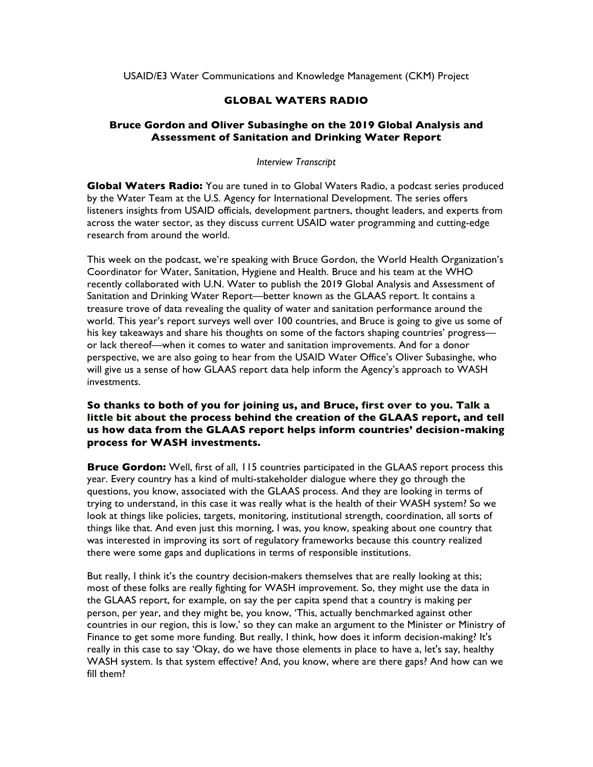USAID/E3 Water Communications and Knowledge Management (CKM) Project

## **GLOBAL WATERS RADIO**

### **Bruce Gordon and Oliver Subasinghe on the 2019 Global Analysis and Assessment of Sanitation and Drinking Water Report**

#### *Interview Transcript*

**Global Waters Radio:** You are tuned in to Global Waters Radio, a podcast series produced by the Water Team at the U.S. Agency for International Development. The series offers listeners insights from USAID officials, development partners, thought leaders, and experts from across the water sector, as they discuss current USAID water programming and cutting-edge research from around the world.

This week on the podcast, we're speaking with Bruce Gordon, the World Health Organization's Coordinator for Water, Sanitation, Hygiene and Health. Bruce and his team at the WHO recently collaborated with U.N. Water to publish the 2019 Global Analysis and Assessment of Sanitation and Drinking Water Report—better known as the GLAAS report. It contains a treasure trove of data revealing the quality of water and sanitation performance around the world. This year's report surveys well over 100 countries, and Bruce is going to give us some of his key takeaways and share his thoughts on some of the factors shaping countries' progress or lack thereof—when it comes to water and sanitation improvements. And for a donor perspective, we are also going to hear from the USAID Water Office's Oliver Subasinghe, who will give us a sense of how GLAAS report data help inform the Agency's approach to WASH investments.

### **So thanks to both of you for joining us, and Bruce, first over to you. Talk a little bit about the process behind the creation of the GLAAS report, and tell us how data from the GLAAS report helps inform countries' decision-making process for WASH investments.**

**Bruce Gordon:** Well, first of all, 115 countries participated in the GLAAS report process this year. Every country has a kind of multi-stakeholder dialogue where they go through the questions, you know, associated with the GLAAS process. And they are looking in terms of trying to understand, in this case it was really what is the health of their WASH system? So we look at things like policies, targets, monitoring, institutional strength, coordination, all sorts of things like that. And even just this morning, I was, you know, speaking about one country that was interested in improving its sort of regulatory frameworks because this country realized there were some gaps and duplications in terms of responsible institutions.

But really, I think it's the country decision-makers themselves that are really looking at this; most of these folks are really fighting for WASH improvement. So, they might use the data in the GLAAS report, for example, on say the per capita spend that a country is making per person, per year, and they might be, you know, 'This, actually benchmarked against other countries in our region, this is low,' so they can make an argument to the Minister or Ministry of Finance to get some more funding. But really, I think, how does it inform decision-making? It's really in this case to say 'Okay, do we have those elements in place to have a, let's say, healthy WASH system. Is that system effective? And, you know, where are there gaps? And how can we fill them?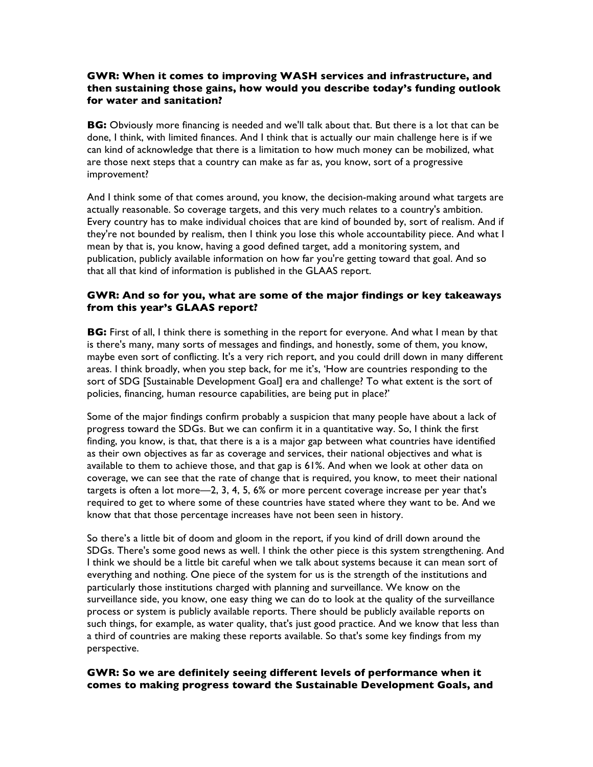### **GWR: When it comes to improving WASH services and infrastructure, and then sustaining those gains, how would you describe today's funding outlook for water and sanitation?**

**BG:** Obviously more financing is needed and we'll talk about that. But there is a lot that can be done, I think, with limited finances. And I think that is actually our main challenge here is if we can kind of acknowledge that there is a limitation to how much money can be mobilized, what are those next steps that a country can make as far as, you know, sort of a progressive improvement?

And I think some of that comes around, you know, the decision-making around what targets are actually reasonable. So coverage targets, and this very much relates to a country's ambition. Every country has to make individual choices that are kind of bounded by, sort of realism. And if they're not bounded by realism, then I think you lose this whole accountability piece. And what I mean by that is, you know, having a good defined target, add a monitoring system, and publication, publicly available information on how far you're getting toward that goal. And so that all that kind of information is published in the GLAAS report.

## **GWR: And so for you, what are some of the major findings or key takeaways from this year's GLAAS report?**

**BG:** First of all, I think there is something in the report for everyone. And what I mean by that is there's many, many sorts of messages and findings, and honestly, some of them, you know, maybe even sort of conflicting. It's a very rich report, and you could drill down in many different areas. I think broadly, when you step back, for me it's, 'How are countries responding to the sort of SDG [Sustainable Development Goal] era and challenge? To what extent is the sort of policies, financing, human resource capabilities, are being put in place?'

Some of the major findings confirm probably a suspicion that many people have about a lack of progress toward the SDGs. But we can confirm it in a quantitative way. So, I think the first finding, you know, is that, that there is a is a major gap between what countries have identified as their own objectives as far as coverage and services, their national objectives and what is available to them to achieve those, and that gap is 61%. And when we look at other data on coverage, we can see that the rate of change that is required, you know, to meet their national targets is often a lot more—2, 3, 4, 5, 6% or more percent coverage increase per year that's required to get to where some of these countries have stated where they want to be. And we know that that those percentage increases have not been seen in history.

So there's a little bit of doom and gloom in the report, if you kind of drill down around the SDGs. There's some good news as well. I think the other piece is this system strengthening. And I think we should be a little bit careful when we talk about systems because it can mean sort of everything and nothing. One piece of the system for us is the strength of the institutions and particularly those institutions charged with planning and surveillance. We know on the surveillance side, you know, one easy thing we can do to look at the quality of the surveillance process or system is publicly available reports. There should be publicly available reports on such things, for example, as water quality, that's just good practice. And we know that less than a third of countries are making these reports available. So that's some key findings from my perspective.

## **GWR: So we are definitely seeing different levels of performance when it comes to making progress toward the Sustainable Development Goals, and**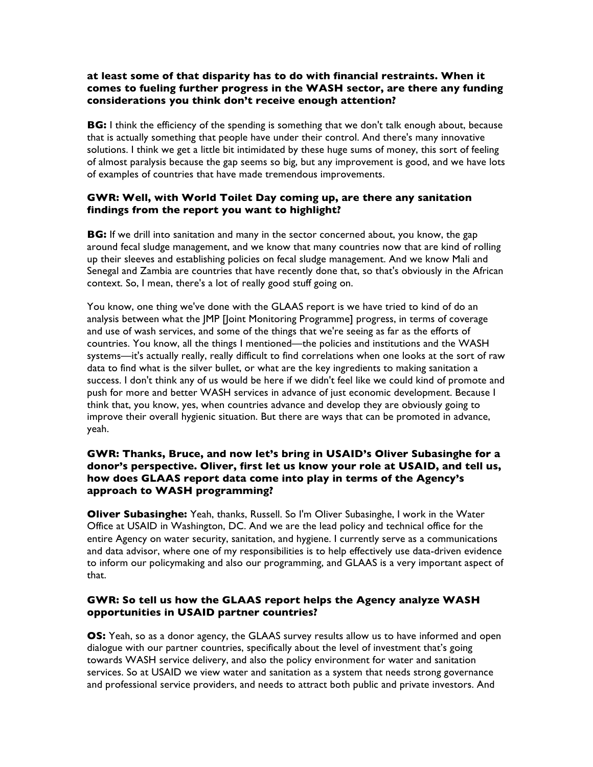### **at least some of that disparity has to do with financial restraints. When it comes to fueling further progress in the WASH sector, are there any funding considerations you think don't receive enough attention?**

**BG:** I think the efficiency of the spending is something that we don't talk enough about, because that is actually something that people have under their control. And there's many innovative solutions. I think we get a little bit intimidated by these huge sums of money, this sort of feeling of almost paralysis because the gap seems so big, but any improvement is good, and we have lots of examples of countries that have made tremendous improvements.

# **GWR: Well, with World Toilet Day coming up, are there any sanitation findings from the report you want to highlight?**

**BG:** If we drill into sanitation and many in the sector concerned about, you know, the gap around fecal sludge management, and we know that many countries now that are kind of rolling up their sleeves and establishing policies on fecal sludge management. And we know Mali and Senegal and Zambia are countries that have recently done that, so that's obviously in the African context. So, I mean, there's a lot of really good stuff going on.

You know, one thing we've done with the GLAAS report is we have tried to kind of do an analysis between what the JMP [Joint Monitoring Programme] progress, in terms of coverage and use of wash services, and some of the things that we're seeing as far as the efforts of countries. You know, all the things I mentioned—the policies and institutions and the WASH systems—it's actually really, really difficult to find correlations when one looks at the sort of raw data to find what is the silver bullet, or what are the key ingredients to making sanitation a success. I don't think any of us would be here if we didn't feel like we could kind of promote and push for more and better WASH services in advance of just economic development. Because I think that, you know, yes, when countries advance and develop they are obviously going to improve their overall hygienic situation. But there are ways that can be promoted in advance, yeah.

### **GWR: Thanks, Bruce, and now let's bring in USAID's Oliver Subasinghe for a donor's perspective. Oliver, first let us know your role at USAID, and tell us, how does GLAAS report data come into play in terms of the Agency's approach to WASH programming?**

**Oliver Subasinghe:** Yeah, thanks, Russell. So I'm Oliver Subasinghe, I work in the Water Office at USAID in Washington, DC. And we are the lead policy and technical office for the entire Agency on water security, sanitation, and hygiene. I currently serve as a communications and data advisor, where one of my responsibilities is to help effectively use data-driven evidence to inform our policymaking and also our programming, and GLAAS is a very important aspect of that.

## **GWR: So tell us how the GLAAS report helps the Agency analyze WASH opportunities in USAID partner countries?**

**OS:** Yeah, so as a donor agency, the GLAAS survey results allow us to have informed and open dialogue with our partner countries, specifically about the level of investment that's going towards WASH service delivery, and also the policy environment for water and sanitation services. So at USAID we view water and sanitation as a system that needs strong governance and professional service providers, and needs to attract both public and private investors. And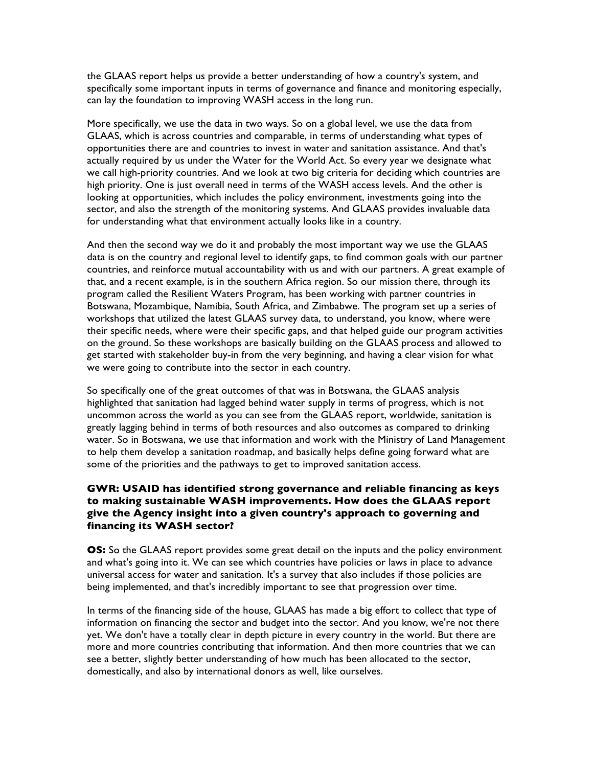the GLAAS report helps us provide a better understanding of how a country's system, and specifically some important inputs in terms of governance and finance and monitoring especially, can lay the foundation to improving WASH access in the long run.

More specifically, we use the data in two ways. So on a global level, we use the data from GLAAS, which is across countries and comparable, in terms of understanding what types of opportunities there are and countries to invest in water and sanitation assistance. And that's actually required by us under the Water for the World Act. So every year we designate what we call high-priority countries. And we look at two big criteria for deciding which countries are high priority. One is just overall need in terms of the WASH access levels. And the other is looking at opportunities, which includes the policy environment, investments going into the sector, and also the strength of the monitoring systems. And GLAAS provides invaluable data for understanding what that environment actually looks like in a country.

And then the second way we do it and probably the most important way we use the GLAAS data is on the country and regional level to identify gaps, to find common goals with our partner countries, and reinforce mutual accountability with us and with our partners. A great example of that, and a recent example, is in the southern Africa region. So our mission there, through its program called the Resilient Waters Program, has been working with partner countries in Botswana, Mozambique, Namibia, South Africa, and Zimbabwe. The program set up a series of workshops that utilized the latest GLAAS survey data, to understand, you know, where were their specific needs, where were their specific gaps, and that helped guide our program activities on the ground. So these workshops are basically building on the GLAAS process and allowed to get started with stakeholder buy-in from the very beginning, and having a clear vision for what we were going to contribute into the sector in each country.

So specifically one of the great outcomes of that was in Botswana, the GLAAS analysis highlighted that sanitation had lagged behind water supply in terms of progress, which is not uncommon across the world as you can see from the GLAAS report, worldwide, sanitation is greatly lagging behind in terms of both resources and also outcomes as compared to drinking water. So in Botswana, we use that information and work with the Ministry of Land Management to help them develop a sanitation roadmap, and basically helps define going forward what are some of the priorities and the pathways to get to improved sanitation access.

## **GWR: USAID has identified strong governance and reliable financing as keys to making sustainable WASH improvements. How does the GLAAS report give the Agency insight into a given country's approach to governing and financing its WASH sector?**

**OS:** So the GLAAS report provides some great detail on the inputs and the policy environment and what's going into it. We can see which countries have policies or laws in place to advance universal access for water and sanitation. It's a survey that also includes if those policies are being implemented, and that's incredibly important to see that progression over time.

In terms of the financing side of the house, GLAAS has made a big effort to collect that type of information on financing the sector and budget into the sector. And you know, we're not there yet. We don't have a totally clear in depth picture in every country in the world. But there are more and more countries contributing that information. And then more countries that we can see a better, slightly better understanding of how much has been allocated to the sector, domestically, and also by international donors as well, like ourselves.